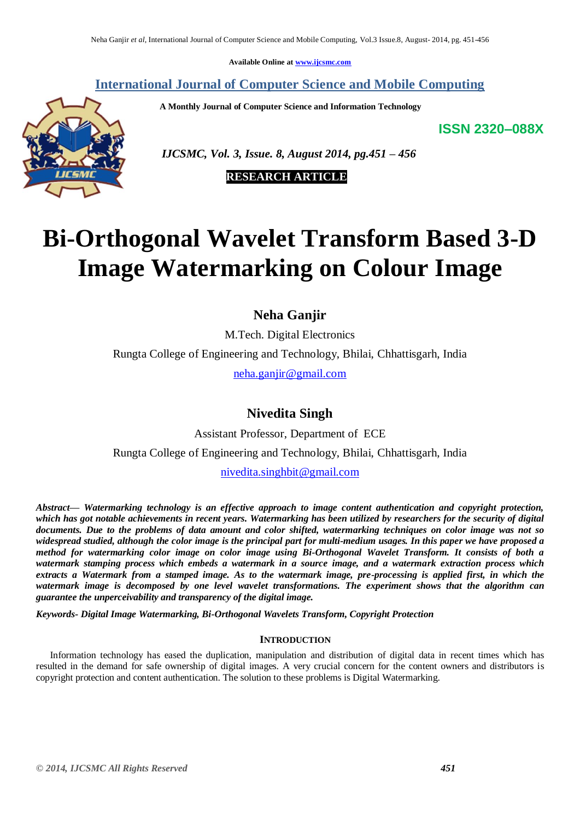**Available Online at [www.ijcsmc.com](http://www.ijcsmc.com/)**

# **International Journal of Computer Science and Mobile Computing**

 **A Monthly Journal of Computer Science and Information Technology**

**ISSN 2320–088X**



 *IJCSMC, Vol. 3, Issue. 8, August 2014, pg.451 – 456*

 **RESEARCH ARTICLE**

# **Bi-Orthogonal Wavelet Transform Based 3-D Image Watermarking on Colour Image**

**Neha Ganjir**

M.Tech. Digital Electronics Rungta College of Engineering and Technology, Bhilai, Chhattisgarh, India [neha.ganjir@gmail.com](mailto:neha.ganjir@gmail.com)

# **Nivedita Singh**

Assistant Professor, Department of ECE Rungta College of Engineering and Technology, Bhilai, Chhattisgarh, India [nivedita.singhbit@gmail.com](mailto:nivedita.singhbit@gmail.com)

*Abstract— Watermarking technology is an effective approach to image content authentication and copyright protection, which has got notable achievements in recent years. Watermarking has been utilized by researchers for the security of digital documents. Due to the problems of data amount and color shifted, watermarking techniques on color image was not so widespread studied, although the color image is the principal part for multi-medium usages. In this paper we have proposed a method for watermarking color image on color image using Bi-Orthogonal Wavelet Transform. It consists of both a watermark stamping process which embeds a watermark in a source image, and a watermark extraction process which extracts a Watermark from a stamped image. As to the watermark image, pre-processing is applied first, in which the watermark image is decomposed by one level wavelet transformations. The experiment shows that the algorithm can guarantee the unperceivability and transparency of the digital image.*

*Keywords- Digital Image Watermarking, Bi-Orthogonal Wavelets Transform, Copyright Protection*

# **INTRODUCTION**

Information technology has eased the duplication, manipulation and distribution of digital data in recent times which has resulted in the demand for safe ownership of digital images. A very crucial concern for the content owners and distributors is copyright protection and content authentication. The solution to these problems is Digital Watermarking.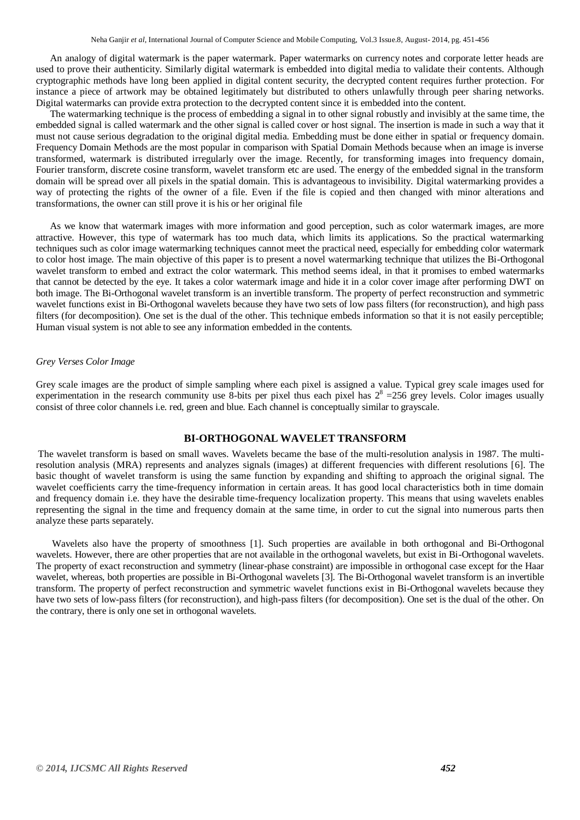An analogy of digital watermark is the paper watermark. Paper watermarks on currency notes and corporate letter heads are used to prove their authenticity. Similarly digital watermark is embedded into digital media to validate their contents. Although cryptographic methods have long been applied in digital content security, the decrypted content requires further protection. For instance a piece of artwork may be obtained legitimately but distributed to others unlawfully through peer sharing networks. Digital watermarks can provide extra protection to the decrypted content since it is embedded into the content.

The watermarking technique is the process of embedding a signal in to other signal robustly and invisibly at the same time, the embedded signal is called watermark and the other signal is called cover or host signal. The insertion is made in such a way that it must not cause serious degradation to the original digital media. Embedding must be done either in spatial or frequency domain. Frequency Domain Methods are the most popular in comparison with Spatial Domain Methods because when an image is inverse transformed, watermark is distributed irregularly over the image. Recently, for transforming images into frequency domain, Fourier transform, discrete cosine transform, wavelet transform etc are used. The energy of the embedded signal in the transform domain will be spread over all pixels in the spatial domain. This is advantageous to invisibility. Digital watermarking provides a way of protecting the rights of the owner of a file. Even if the file is copied and then changed with minor alterations and transformations, the owner can still prove it is his or her original file

As we know that watermark images with more information and good perception, such as color watermark images, are more attractive. However, this type of watermark has too much data, which limits its applications. So the practical watermarking techniques such as color image watermarking techniques cannot meet the practical need, especially for embedding color watermark to color host image. The main objective of this paper is to present a novel watermarking technique that utilizes the Bi-Orthogonal wavelet transform to embed and extract the color watermark. This method seems ideal, in that it promises to embed watermarks that cannot be detected by the eye. It takes a color watermark image and hide it in a color cover image after performing DWT on both image. The Bi-Orthogonal wavelet transform is an invertible transform. The property of perfect reconstruction and symmetric wavelet functions exist in Bi-Orthogonal wavelets because they have two sets of low pass filters (for reconstruction), and high pass filters (for decomposition). One set is the dual of the other. This technique embeds information so that it is not easily perceptible; Human visual system is not able to see any information embedded in the contents.

#### *Grey Verses Color Image*

Grey scale images are the product of simple sampling where each pixel is assigned a value. Typical grey scale images used for experimentation in the research community use 8-bits per pixel thus each pixel has  $2^8 = 256$  grey levels. Color images usually consist of three color channels i.e. red, green and blue. Each channel is conceptually similar to grayscale.

## **BI-ORTHOGONAL WAVELET TRANSFORM**

The wavelet transform is based on small waves. Wavelets became the base of the multi-resolution analysis in 1987. The multiresolution analysis (MRA) represents and analyzes signals (images) at different frequencies with different resolutions [6]. The basic thought of wavelet transform is using the same function by expanding and shifting to approach the original signal. The wavelet coefficients carry the time-frequency information in certain areas. It has good local characteristics both in time domain and frequency domain i.e. they have the desirable time-frequency localization property. This means that using wavelets enables representing the signal in the time and frequency domain at the same time, in order to cut the signal into numerous parts then analyze these parts separately.

Wavelets also have the property of smoothness [1]. Such properties are available in both orthogonal and Bi-Orthogonal wavelets. However, there are other properties that are not available in the orthogonal wavelets, but exist in Bi-Orthogonal wavelets. The property of exact reconstruction and symmetry (linear-phase constraint) are impossible in orthogonal case except for the Haar wavelet, whereas, both properties are possible in Bi-Orthogonal wavelets [3]. The Bi-Orthogonal wavelet transform is an invertible transform. The property of perfect reconstruction and symmetric wavelet functions exist in Bi-Orthogonal wavelets because they have two sets of low-pass filters (for reconstruction), and high-pass filters (for decomposition). One set is the dual of the other. On the contrary, there is only one set in orthogonal wavelets.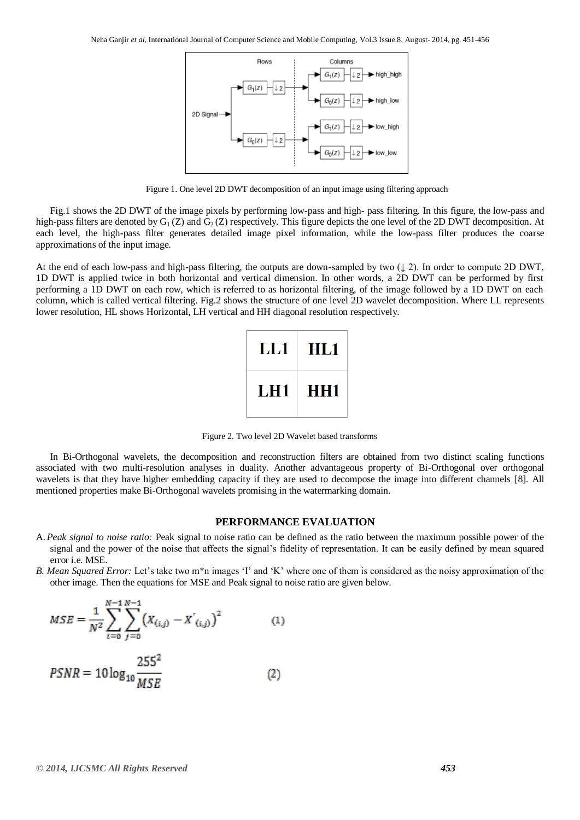

Figure 1. One level 2D DWT decomposition of an input image using filtering approach

Fig.1 shows the 2D DWT of the image pixels by performing low-pass and high- pass filtering. In this figure, the low-pass and high-pass filters are denoted by  $G_1(Z)$  and  $G_2(Z)$  respectively. This figure depicts the one level of the 2D DWT decomposition. At each level, the high-pass filter generates detailed image pixel information, while the low-pass filter produces the coarse approximations of the input image.

At the end of each low-pass and high-pass filtering, the outputs are down-sampled by two  $(1, 2)$ . In order to compute 2D DWT, 1D DWT is applied twice in both horizontal and vertical dimension. In other words, a 2D DWT can be performed by first performing a 1D DWT on each row, which is referred to as horizontal filtering, of the image followed by a 1D DWT on each column, which is called vertical filtering. Fig.2 shows the structure of one level 2D wavelet decomposition. Where LL represents lower resolution, HL shows Horizontal, LH vertical and HH diagonal resolution respectively.

| LL1        | HL1        |
|------------|------------|
| <b>LH1</b> | <b>HH1</b> |

Figure 2. Two level 2D Wavelet based transforms

In Bi-Orthogonal wavelets, the decomposition and reconstruction filters are obtained from two distinct scaling functions associated with two multi-resolution analyses in duality. Another advantageous property of Bi-Orthogonal over orthogonal wavelets is that they have higher embedding capacity if they are used to decompose the image into different channels [8]. All mentioned properties make Bi-Orthogonal wavelets promising in the watermarking domain.

#### **PERFORMANCE EVALUATION**

- A. *Peak signal to noise ratio:* Peak signal to noise ratio can be defined as the ratio between the maximum possible power of the signal and the power of the noise that affects the signal"s fidelity of representation. It can be easily defined by mean squared error i.e. MSE.
- *B. Mean Squared Error:* Let's take two m<sup>\*</sup>n images 'I' and 'K' where one of them is considered as the noisy approximation of the other image. Then the equations for MSE and Peak signal to noise ratio are given below.

$$
MSE = \frac{1}{N^2} \sum_{i=0}^{N-1} \sum_{j=0}^{N-1} (X_{(i,j)} - X'_{(i,j)})^2
$$
(1)  

$$
PSNR = 10 \log_{10} \frac{255^2}{MSE}
$$
(2)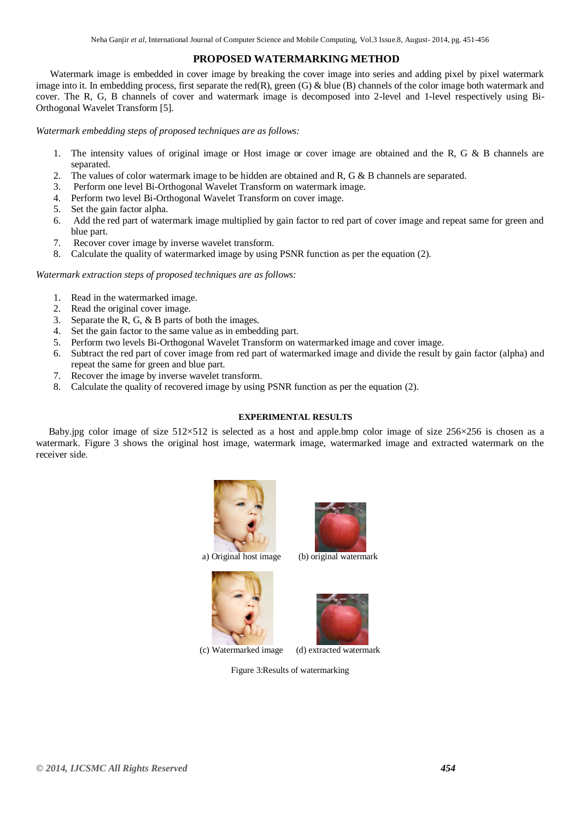# **PROPOSED WATERMARKING METHOD**

Watermark image is embedded in cover image by breaking the cover image into series and adding pixel by pixel watermark image into it. In embedding process, first separate the red(R), green (G) & blue (B) channels of the color image both watermark and cover. The R, G, B channels of cover and watermark image is decomposed into 2-level and 1-level respectively using Bi-Orthogonal Wavelet Transform [5].

*Watermark embedding steps of proposed techniques are as follows:*

- 1. The intensity values of original image or Host image or cover image are obtained and the R, G & B channels are separated.
- 2. The values of color watermark image to be hidden are obtained and  $R$ ,  $G & B$  channels are separated.
- 3. Perform one level Bi-Orthogonal Wavelet Transform on watermark image.
- 4. Perform two level Bi-Orthogonal Wavelet Transform on cover image.
- 5. Set the gain factor alpha.
- 6. Add the red part of watermark image multiplied by gain factor to red part of cover image and repeat same for green and blue part.
- 7. Recover cover image by inverse wavelet transform.
- 8. Calculate the quality of watermarked image by using PSNR function as per the equation (2).

#### *Watermark extraction steps of proposed techniques are as follows:*

- 1. Read in the watermarked image.
- 2. Read the original cover image.
- 3. Separate the R, G, & B parts of both the images.
- 4. Set the gain factor to the same value as in embedding part.
- 5. Perform two levels Bi-Orthogonal Wavelet Transform on watermarked image and cover image.
- 6. Subtract the red part of cover image from red part of watermarked image and divide the result by gain factor (alpha) and repeat the same for green and blue part.
- 7. Recover the image by inverse wavelet transform.
- 8. Calculate the quality of recovered image by using PSNR function as per the equation (2).

## **EXPERIMENTAL RESULTS**

Baby.jpg color image of size 512×512 is selected as a host and apple.bmp color image of size 256×256 is chosen as a watermark. Figure 3 shows the original host image, watermark image, watermarked image and extracted watermark on the receiver side.





a) Original host image (b) original watermark



(c) Watermarked image (d) extracted watermark

Figure 3:Results of watermarking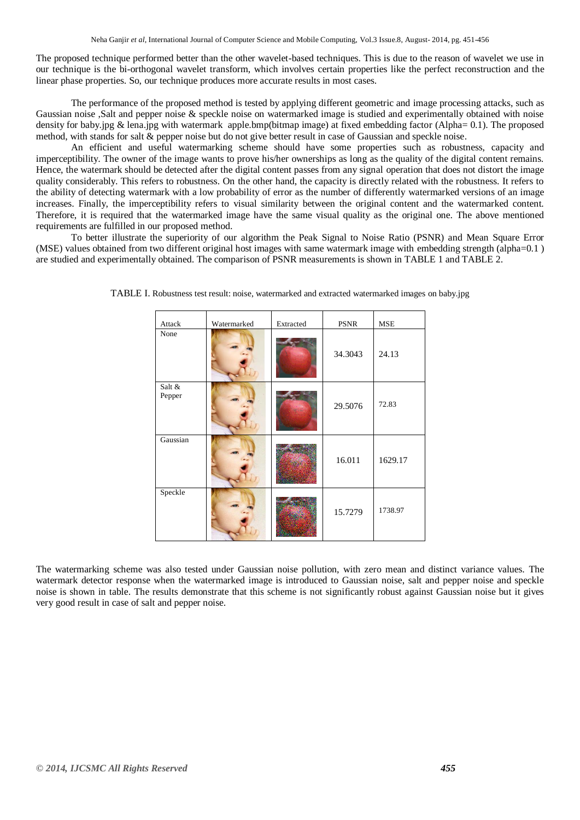The proposed technique performed better than the other wavelet-based techniques. This is due to the reason of wavelet we use in our technique is the bi-orthogonal wavelet transform, which involves certain properties like the perfect reconstruction and the linear phase properties. So, our technique produces more accurate results in most cases.

The performance of the proposed method is tested by applying different geometric and image processing attacks, such as Gaussian noise ,Salt and pepper noise & speckle noise on watermarked image is studied and experimentally obtained with noise density for baby.jpg & lena.jpg with watermark apple.bmp(bitmap image) at fixed embedding factor (Alpha= 0.1). The proposed method, with stands for salt & pepper noise but do not give better result in case of Gaussian and speckle noise.

An efficient and useful watermarking scheme should have some properties such as robustness, capacity and imperceptibility. The owner of the image wants to prove his/her ownerships as long as the quality of the digital content remains. Hence, the watermark should be detected after the digital content passes from any signal operation that does not distort the image quality considerably. This refers to robustness. On the other hand, the capacity is directly related with the robustness. It refers to the ability of detecting watermark with a low probability of error as the number of differently watermarked versions of an image increases. Finally, the imperceptibility refers to visual similarity between the original content and the watermarked content. Therefore, it is required that the watermarked image have the same visual quality as the original one. The above mentioned requirements are fulfilled in our proposed method.

To better illustrate the superiority of our algorithm the Peak Signal to Noise Ratio (PSNR) and Mean Square Error (MSE) values obtained from two different original host images with same watermark image with embedding strength (alpha=0.1 ) are studied and experimentally obtained. The comparison of PSNR measurements is shown in TABLE 1 and TABLE 2.

| Attack           | Watermarked | Extracted | <b>PSNR</b> | <b>MSE</b> |
|------------------|-------------|-----------|-------------|------------|
| None             |             |           | 34.3043     | 24.13      |
| Salt &<br>Pepper |             |           | 29.5076     | 72.83      |
| Gaussian         |             |           | 16.011      | 1629.17    |
| Speckle          |             |           | 15.7279     | 1738.97    |

TABLE I. Robustness test result: noise, watermarked and extracted watermarked images on baby.jpg

The watermarking scheme was also tested under Gaussian noise pollution, with zero mean and distinct variance values. The watermark detector response when the watermarked image is introduced to Gaussian noise, salt and pepper noise and speckle noise is shown in table. The results demonstrate that this scheme is not significantly robust against Gaussian noise but it gives very good result in case of salt and pepper noise.